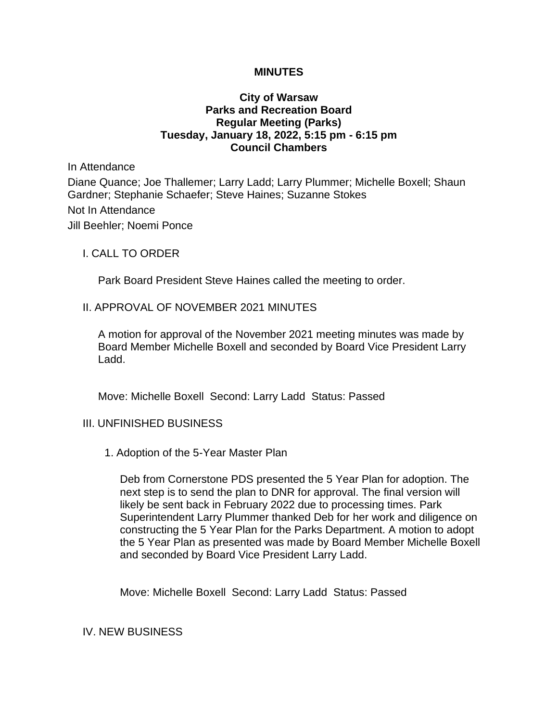## **MINUTES**

## **City of Warsaw Parks and Recreation Board Regular Meeting (Parks) Tuesday, January 18, 2022, 5:15 pm - 6:15 pm Council Chambers**

In Attendance

Diane Quance; Joe Thallemer; Larry Ladd; Larry Plummer; Michelle Boxell; Shaun Gardner; Stephanie Schaefer; Steve Haines; Suzanne Stokes Not In Attendance Jill Beehler; Noemi Ponce

I. CALL TO ORDER

Park Board President Steve Haines called the meeting to order.

#### II. APPROVAL OF NOVEMBER 2021 MINUTES

A motion for approval of the November 2021 meeting minutes was made by Board Member Michelle Boxell and seconded by Board Vice President Larry Ladd.

Move: Michelle Boxell Second: Larry Ladd Status: Passed

#### III. UNFINISHED BUSINESS

1. Adoption of the 5-Year Master Plan

Deb from Cornerstone PDS presented the 5 Year Plan for adoption. The next step is to send the plan to DNR for approval. The final version will likely be sent back in February 2022 due to processing times. Park Superintendent Larry Plummer thanked Deb for her work and diligence on constructing the 5 Year Plan for the Parks Department. A motion to adopt the 5 Year Plan as presented was made by Board Member Michelle Boxell and seconded by Board Vice President Larry Ladd.

Move: Michelle Boxell Second: Larry Ladd Status: Passed

IV. NEW BUSINESS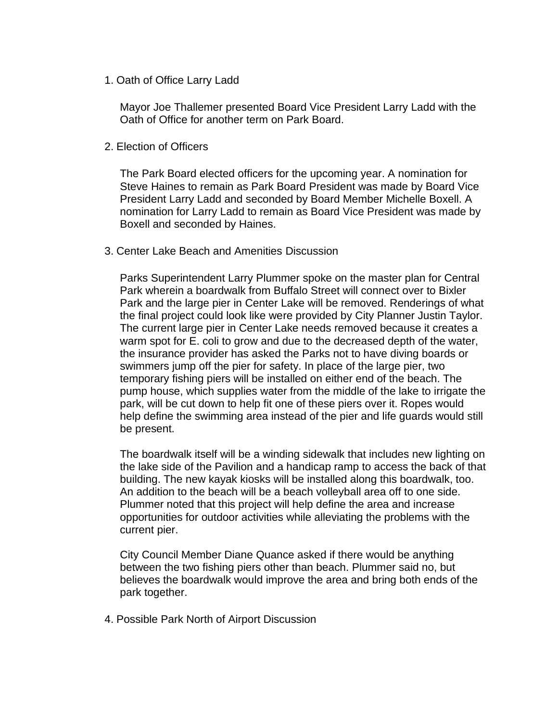1. Oath of Office Larry Ladd

Mayor Joe Thallemer presented Board Vice President Larry Ladd with the Oath of Office for another term on Park Board.

2. Election of Officers

The Park Board elected officers for the upcoming year. A nomination for Steve Haines to remain as Park Board President was made by Board Vice President Larry Ladd and seconded by Board Member Michelle Boxell. A nomination for Larry Ladd to remain as Board Vice President was made by Boxell and seconded by Haines.

3. Center Lake Beach and Amenities Discussion

Parks Superintendent Larry Plummer spoke on the master plan for Central Park wherein a boardwalk from Buffalo Street will connect over to Bixler Park and the large pier in Center Lake will be removed. Renderings of what the final project could look like were provided by City Planner Justin Taylor. The current large pier in Center Lake needs removed because it creates a warm spot for E. coli to grow and due to the decreased depth of the water, the insurance provider has asked the Parks not to have diving boards or swimmers jump off the pier for safety. In place of the large pier, two temporary fishing piers will be installed on either end of the beach. The pump house, which supplies water from the middle of the lake to irrigate the park, will be cut down to help fit one of these piers over it. Ropes would help define the swimming area instead of the pier and life guards would still be present.

The boardwalk itself will be a winding sidewalk that includes new lighting on the lake side of the Pavilion and a handicap ramp to access the back of that building. The new kayak kiosks will be installed along this boardwalk, too. An addition to the beach will be a beach volleyball area off to one side. Plummer noted that this project will help define the area and increase opportunities for outdoor activities while alleviating the problems with the current pier.

City Council Member Diane Quance asked if there would be anything between the two fishing piers other than beach. Plummer said no, but believes the boardwalk would improve the area and bring both ends of the park together.

4. Possible Park North of Airport Discussion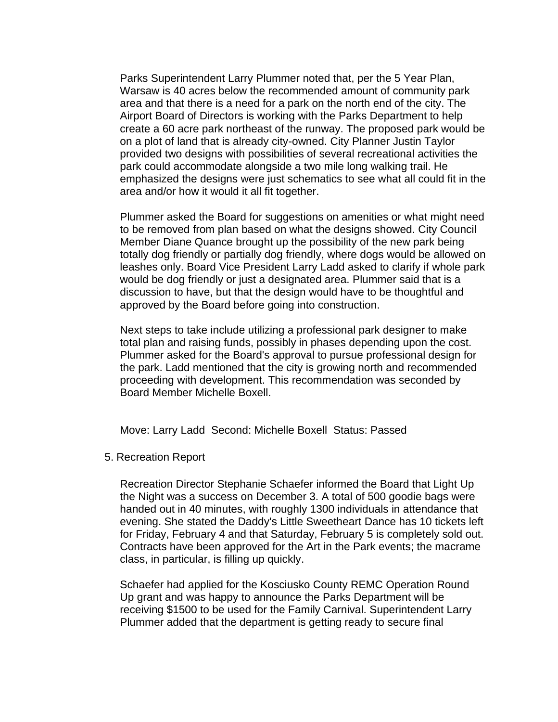Parks Superintendent Larry Plummer noted that, per the 5 Year Plan, Warsaw is 40 acres below the recommended amount of community park area and that there is a need for a park on the north end of the city. The Airport Board of Directors is working with the Parks Department to help create a 60 acre park northeast of the runway. The proposed park would be on a plot of land that is already city-owned. City Planner Justin Taylor provided two designs with possibilities of several recreational activities the park could accommodate alongside a two mile long walking trail. He emphasized the designs were just schematics to see what all could fit in the area and/or how it would it all fit together.

Plummer asked the Board for suggestions on amenities or what might need to be removed from plan based on what the designs showed. City Council Member Diane Quance brought up the possibility of the new park being totally dog friendly or partially dog friendly, where dogs would be allowed on leashes only. Board Vice President Larry Ladd asked to clarify if whole park would be dog friendly or just a designated area. Plummer said that is a discussion to have, but that the design would have to be thoughtful and approved by the Board before going into construction.

Next steps to take include utilizing a professional park designer to make total plan and raising funds, possibly in phases depending upon the cost. Plummer asked for the Board's approval to pursue professional design for the park. Ladd mentioned that the city is growing north and recommended proceeding with development. This recommendation was seconded by Board Member Michelle Boxell.

Move: Larry Ladd Second: Michelle Boxell Status: Passed

## 5. Recreation Report

Recreation Director Stephanie Schaefer informed the Board that Light Up the Night was a success on December 3. A total of 500 goodie bags were handed out in 40 minutes, with roughly 1300 individuals in attendance that evening. She stated the Daddy's Little Sweetheart Dance has 10 tickets left for Friday, February 4 and that Saturday, February 5 is completely sold out. Contracts have been approved for the Art in the Park events; the macrame class, in particular, is filling up quickly.

Schaefer had applied for the Kosciusko County REMC Operation Round Up grant and was happy to announce the Parks Department will be receiving \$1500 to be used for the Family Carnival. Superintendent Larry Plummer added that the department is getting ready to secure final